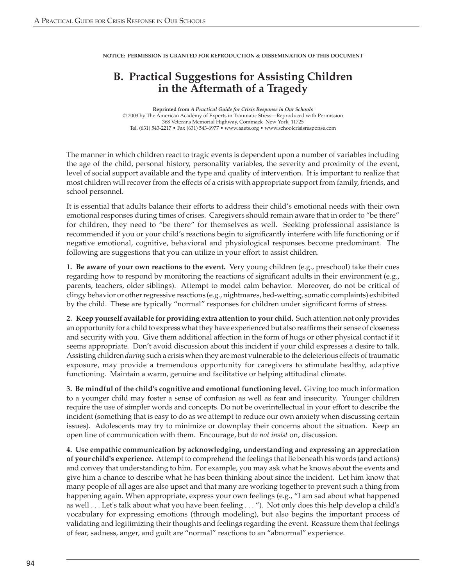**NOTICE: PERMISSION IS GRANTED FOR REPRODUCTION & DISSEMINATION OF THIS DOCUMENT**

## **B. Practical Suggestions for Assisting Children in the Aftermath of a Tragedy**

**Reprinted from** *A Practical Guide for Crisis Response in Our Schools* © 2003 by The American Academy of Experts in Traumatic Stress—Reproduced with Permission 368 Veterans Memorial Highway, Commack New York 11725 Tel. (631) 543-2217 • Fax (631) 543-6977 • www.aaets.org • www.schoolcrisisresponse.com

The manner in which children react to tragic events is dependent upon a number of variables including the age of the child, personal history, personality variables, the severity and proximity of the event, level of social support available and the type and quality of intervention. It is important to realize that most children will recover from the effects of a crisis with appropriate support from family, friends, and school personnel.

It is essential that adults balance their efforts to address their child's emotional needs with their own emotional responses during times of crises. Caregivers should remain aware that in order to "be there" for children, they need to "be there" for themselves as well. Seeking professional assistance is recommended if you or your child's reactions begin to significantly interfere with life functioning or if negative emotional, cognitive, behavioral and physiological responses become predominant. The following are suggestions that you can utilize in your effort to assist children.

**1. Be aware of your own reactions to the event.** Very young children (e.g., preschool) take their cues regarding how to respond by monitoring the reactions of significant adults in their environment (e.g., parents, teachers, older siblings). Attempt to model calm behavior. Moreover, do not be critical of clingy behavior or other regressive reactions (e.g., nightmares, bed-wetting, somatic complaints) exhibited by the child. These are typically "normal" responses for children under significant forms of stress.

**2. Keep yourself available for providing extra attention to your child.** Such attention not only provides an opportunity for a child to express what they have experienced but also reaffirms their sense of closeness and security with you. Give them additional affection in the form of hugs or other physical contact if it seems appropriate. Don't avoid discussion about this incident if your child expresses a desire to talk. Assisting children *during* such a crisis when they are most vulnerable to the deleterious effects of traumatic exposure, may provide a tremendous opportunity for caregivers to stimulate healthy, adaptive functioning. Maintain a warm, genuine and facilitative or helping attitudinal climate.

**3. Be mindful of the child's cognitive and emotional functioning level.** Giving too much information to a younger child may foster a sense of confusion as well as fear and insecurity. Younger children require the use of simpler words and concepts. Do not be overintellectual in your effort to describe the incident (something that is easy to do as we attempt to reduce our own anxiety when discussing certain issues). Adolescents may try to minimize or downplay their concerns about the situation. Keep an open line of communication with them. Encourage, but *do not insist* on, discussion.

**4. Use empathic communication by acknowledging, understanding and expressing an appreciation of your child's experience.** Attempt to comprehend the feelings that lie beneath his words (and actions) and convey that understanding to him. For example, you may ask what he knows about the events and give him a chance to describe what he has been thinking about since the incident. Let him know that many people of all ages are also upset and that many are working together to prevent such a thing from happening again. When appropriate, express your own feelings (e.g., "I am sad about what happened as well . . . Let's talk about what you have been feeling . . . "). Not only does this help develop a child's vocabulary for expressing emotions (through modeling), but also begins the important process of validating and legitimizing their thoughts and feelings regarding the event. Reassure them that feelings of fear, sadness, anger, and guilt are "normal" reactions to an "abnormal" experience.